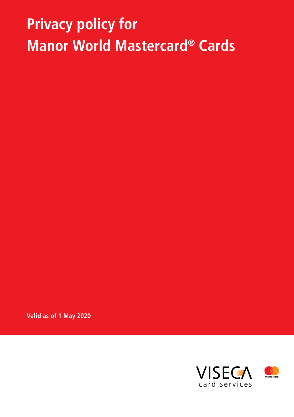# **Privacy policy for Manor World Mastercard® Cards**

**Valid as of 1 May 2020**



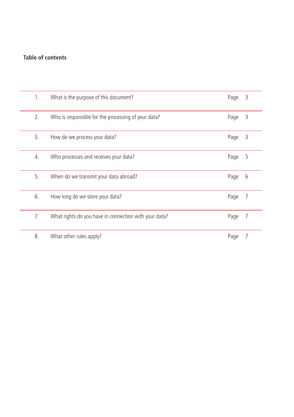# **Table of contents**

| 1. | What is the purpose of this document?                 | Page | 3 |
|----|-------------------------------------------------------|------|---|
| 2. | Who is responsible for the processing of your data?   | Page | 3 |
| 3. | How do we process your data?                          | Page | 3 |
| 4. | Who processes and receives your data?                 | Page | 5 |
| 5. | When do we transmit your data abroad?                 | Page | 6 |
| 6. | How long do we store your data?                       | Page | 7 |
| 7. | What rights do you have in connection with your data? | Page | 7 |
| 8. | What other rules apply?                               | Page |   |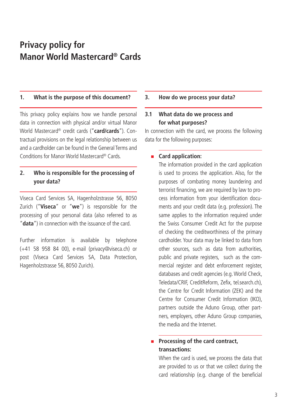# **Privacy policy for Manor World Mastercard® Cards**

#### **1. What is the purpose of this document?**

This privacy policy explains how we handle personal data in connection with physical and/or virtual Manor World Mastercard® credit cards ("**card/cards**"). Contractual provisions on the legal relationship between us and a cardholder can be found in the General Terms and Conditions for Manor World Mastercard® Cards.

# **2. Who is responsible for the processing of your data?**

Viseca Card Services SA, Hagenholzstrasse 56, 8050 Zurich ("**Viseca**" or "**we**") is responsible for the processing of your personal data (also referred to as "**data**") in connection with the issuance of the card.

Further information is available by telephone (+41 58 958 84 00), e-mail (privacy@viseca.ch) or post (Viseca Card Services SA, Data Protection, Hagenholzstrasse 56, 8050 Zurich).

#### **3. How do we process your data?**

# **3.1 What data do we process and for what purposes?**

In connection with the card, we process the following data for the following purposes:

#### **Card application:**

The information provided in the card application is used to process the application. Also, for the purposes of combating money laundering and terrorist financing, we are required by law to process information from your identification documents and your credit data (e.g. profession). The same applies to the information required under the Swiss Consumer Credit Act for the purpose of checking the creditworthiness of the primary cardholder. Your data may be linked to data from other sources, such as data from authorities, public and private registers, such as the commercial register and debt enforcement register, databases and credit agencies (e.g. World Check, Teledata/CRIF, CreditReform, Zefix, tel.search.ch), the Centre for Credit Information (ZEK) and the Centre for Consumer Credit Information (IKO), partners outside the Aduno Group, other partners, employers, other Aduno Group companies, the media and the Internet.

# **Processing of the card contract, transactions:**

When the card is used, we process the data that are provided to us or that we collect during the card relationship (e.g. change of the beneficial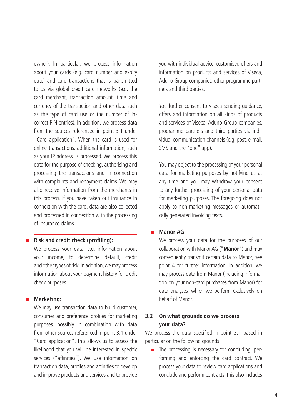owner). In particular, we process information about your cards (e.g. card number and expiry date) and card transactions that is transmitted to us via global credit card networks (e.g. the card merchant, transaction amount, time and currency of the transaction and other data such as the type of card use or the number of incorrect PIN entries). In addition, we process data from the sources referenced in point 3.1 under "Card application". When the card is used for online transactions, additional information, such as your IP address, is processed. We process this data for the purpose of checking, authorising and processing the transactions and in connection with complaints and repayment claims. We may also receive information from the merchants in this process. If you have taken out insurance in connection with the card, data are also collected and processed in connection with the processing of insurance claims.

#### **Risk and credit check (profiling):**

We process your data, e.g. information about your income, to determine default, credit and other types of risk. In addition, we may process information about your payment history for credit check purposes.

#### **Marketing:**

We may use transaction data to build customer, consumer and preference profiles for marketing purposes, possibly in combination with data from other sources referenced in point 3.1 under "Card application". This allows us to assess the likelihood that you will be interested in specific services ("affinities"). We use information on transaction data, profiles and affinities to develop and improve products and services and to provide you with individual advice, customised offers and information on products and services of Viseca, Aduno Group companies, other programme partners and third parties.

You further consent to Viseca sending guidance, offers and information on all kinds of products and services of Viseca, Aduno Group companies, programme partners and third parties via individual communication channels (e.g. post, e-mail, SMS and the "one" app).

You may object to the processing of your personal data for marketing purposes by notifying us at any time and you may withdraw your consent to any further processing of your personal data for marketing purposes. The foregoing does not apply to non-marketing messages or automatically generated invoicing texts.

#### **Manor AG:**

We process your data for the purposes of our collaboration with Manor AG ("**Manor**") and may consequently transmit certain data to Manor; see point 4 for further information. In addition, we may process data from Manor (including information on your non-card purchases from Manor) for data analyses, which we perform exclusively on behalf of Manor.

# **3.2 On what grounds do we process your data?**

We process the data specified in point 3.1 based in particular on the following grounds:

The processing is necessary for concluding, performing and enforcing the card contract. We process your data to review card applications and conclude and perform contracts. This also includes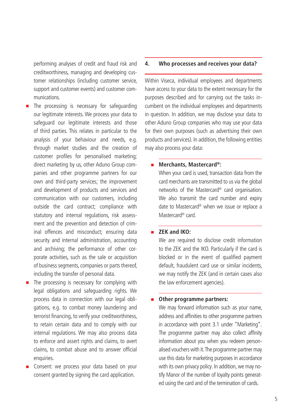performing analyses of credit and fraud risk and creditworthiness, managing and developing customer relationships (including customer service, support and customer events) and customer communications.

- The processing is necessary for safeguarding our legitimate interests. We process your data to safeguard our legitimate interests and those of third parties. This relates in particular to the analysis of your behaviour and needs, e.g. through market studies and the creation of customer profiles for personalised marketing; direct marketing by us, other Aduno Group companies and other programme partners for our own and third-party services; the improvement and development of products and services and communication with our customers, including outside the card contract; compliance with statutory and internal regulations, risk assessment and the prevention and detection of criminal offences and misconduct; ensuring data security and internal administration, accounting and archiving; the performance of other corporate activities, such as the sale or acquisition of business segments, companies or parts thereof, including the transfer of personal data.
- The processing is necessary for complying with legal obligations and safeguarding rights. We process data in connection with our legal obligations, e.g. to combat money laundering and terrorist financing, to verify your creditworthiness, to retain certain data and to comply with our internal regulations. We may also process data to enforce and assert rights and claims, to avert claims, to combat abuse and to answer official enquiries.
- Consent: we process your data based on your consent granted by signing the card application.

#### **4. Who processes and receives your data?**

Within Viseca, individual employees and departments have access to your data to the extent necessary for the purposes described and for carrying out the tasks incumbent on the individual employees and departments in question. In addition, we may disclose your data to other Aduno Group companies who may use your data for their own purposes (such as advertising their own products and services). In addition, the following entities may also process your data:

#### ■ Merchants, Mastercard<sup>®</sup>:

When your card is used, transaction data from the card merchants are transmitted to us via the global networks of the Mastercard® card organisation. We also transmit the card number and expiry date to Mastercard® when we issue or replace a Mastercard® card.

#### **ZEK and IKO:**

We are required to disclose credit information to the ZEK and the IKO. Particularly if the card is blocked or in the event of qualified payment default, fraudulent card use or similar incidents, we may notify the ZEK (and in certain cases also the law enforcement agencies).

#### **Other programme partners:**

We may forward information such as your name, address and affinities to other programme partners in accordance with point 3.1 under "Marketing". The programme partner may also collect affinity information about you when you redeem personalised vouchers with it. The programme partner may use this data for marketing purposes in accordance with its own privacy policy. In addition, we may notify Manor of the number of loyalty points generated using the card and of the termination of cards.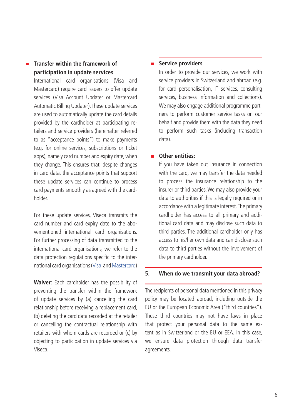# **Transfer within the framework of participation in update services**

International card organisations (Visa and Mastercard) require card issuers to offer update services (Visa Account Updater or Mastercard Automatic Billing Updater). These update services are used to automatically update the card details provided by the cardholder at participating retailers and service providers (hereinafter referred to as "acceptance points") to make payments (e.g. for online services, subscriptions or ticket apps), namely card number and expiry date, when they change. This ensures that, despite changes in card data, the acceptance points that support these update services can continue to process card payments smoothly as agreed with the cardholder.

For these update services, Viseca transmits the card number and card expiry date to the abovementioned international card organisations. For further processing of data transmitted to the international card organisations, we refer to the data protection regulations specific to the international card organisations [\(Visa](https://www.visa.co.uk/legal/privacy-policy.html) and [Mastercard\)](https://www.mastercard.co.uk/en-gb/about-mastercard/what-we-do/privacy.html)

**Waiver**: Each cardholder has the possibility of preventing the transfer within the framework of update services by (a) cancelling the card relationship before receiving a replacement card, (b) deleting the card data recorded at the retailer or cancelling the contractual relationship with retailers with whom cards are recorded or (c) by objecting to participation in update services via Viseca.

#### **Service providers**

In order to provide our services, we work with service providers in Switzerland and abroad (e.g. for card personalisation, IT services, consulting services, business information and collections). We may also engage additional programme partners to perform customer service tasks on our behalf and provide them with the data they need to perform such tasks (including transaction data).

#### **Other entities:**

If you have taken out insurance in connection with the card, we may transfer the data needed to process the insurance relationship to the insurer or third parties. We may also provide your data to authorities if this is legally required or in accordance with a legitimate interest. The primary cardholder has access to all primary and additional card data and may disclose such data to third parties. The additional cardholder only has access to his/her own data and can disclose such data to third parties without the involvement of the primary cardholder.

#### **5. When do we transmit your data abroad?**

The recipients of personal data mentioned in this privacy policy may be located abroad, including outside the EU or the European Economic Area ("third countries"). These third countries may not have laws in place that protect your personal data to the same extent as in Switzerland or the EU or EEA. In this case, we ensure data protection through data transfer agreements.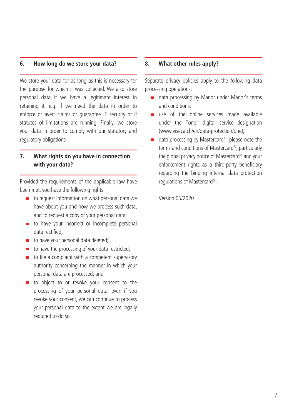#### **6. How long do we store your data?**

We store your data for as long as this is necessary for the purpose for which it was collected. We also store personal data if we have a legitimate interest in retaining it, e.g. if we need the data in order to enforce or avert claims or guarantee IT security or if statutes of limitations are running. Finally, we store your data in order to comply with our statutory and regulatory obligations.

## **7. What rights do you have in connection with your data?**

Provided the requirements of the applicable law have been met, you have the following rights:

- to request information on what personal data we have about you and how we process such data, and to request a copy of your personal data;
- to have your incorrect or incomplete personal data rectified;
- to have your personal data deleted;
- to have the processing of your data restricted;
- to file a complaint with a competent supervisory authority concerning the manner in which your personal data are processed; and
- to object to or revoke your consent to the processing of your personal data; even if you revoke your consent, we can continue to process your personal data to the extent we are legally required to do so.

#### **8. What other rules apply?**

Separate privacy policies apply to the following data processing operations:

- data processing by Manor under Manor's terms and conditions;
- use of the online services made available under the "one" digital service designation (www.viseca.ch/en/data-protection/one);
- data processing by Mastercard®: please note the terms and conditions of Mastercard®, particularly the global privacy notice of Mastercard® and your enforcement rights as a third-party beneficiary regarding the binding internal data protection regulations of Mastercard®.

Version 05/2020